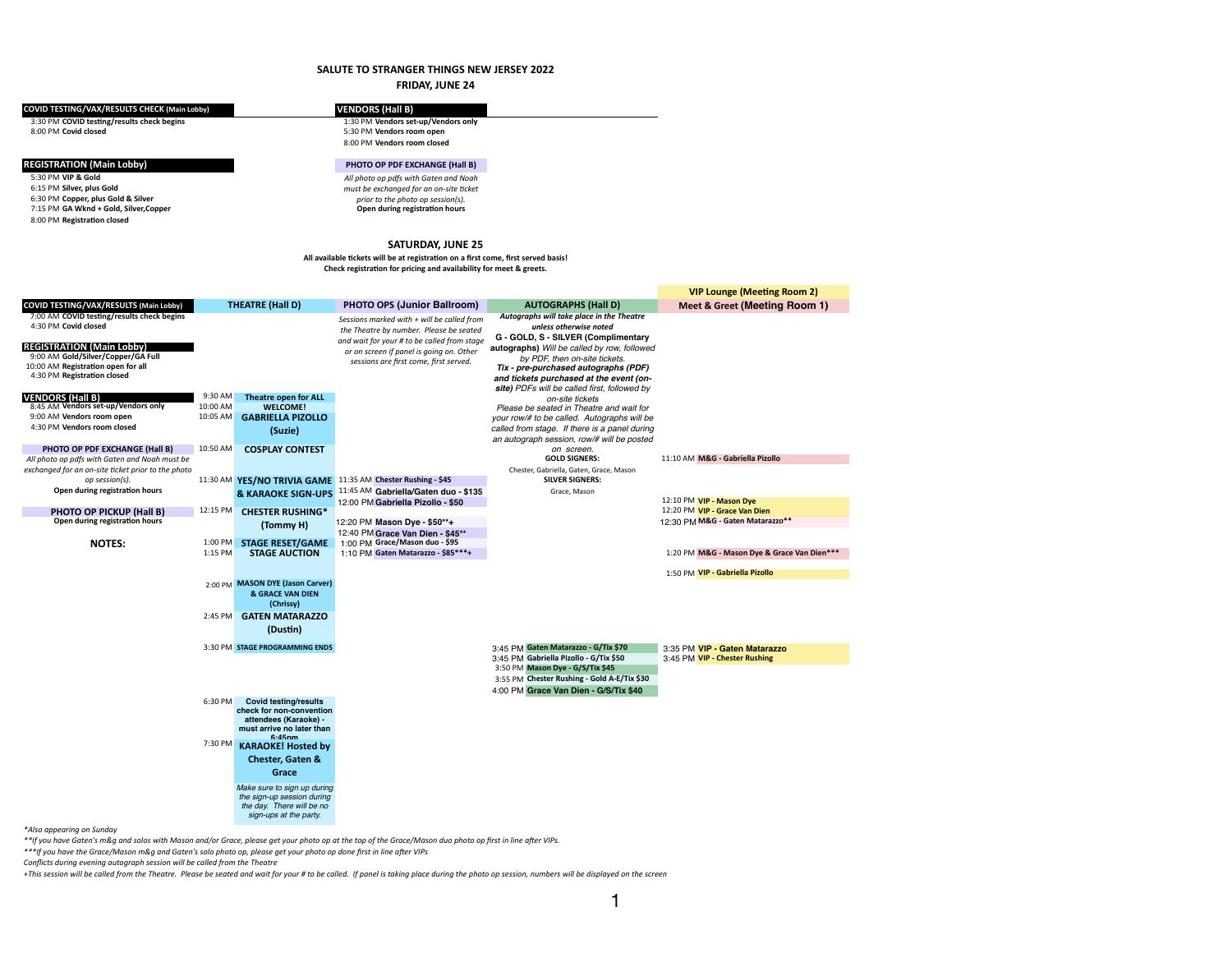## **SALUTE TO STRANGER THINGS NEW JERSEY 2022**

|                                                                                                                                                                |          |                                                         | <b>FRIDAY, JUNE 24</b>                                                                                                                                   |                                                                                             |                                             |
|----------------------------------------------------------------------------------------------------------------------------------------------------------------|----------|---------------------------------------------------------|----------------------------------------------------------------------------------------------------------------------------------------------------------|---------------------------------------------------------------------------------------------|---------------------------------------------|
| COVID TESTING/VAX/RESULTS CHECK (Main Lobby)                                                                                                                   |          |                                                         | <b>VENDORS (Hall B)</b>                                                                                                                                  |                                                                                             |                                             |
| 3:30 PM COVID testing/results check begins                                                                                                                     |          |                                                         | 1:30 PM Vendors set-up/Vendors only                                                                                                                      |                                                                                             |                                             |
| 8:00 PM Covid closed                                                                                                                                           |          |                                                         | 5:30 PM Vendors room open<br>8:00 PM Vendors room closed                                                                                                 |                                                                                             |                                             |
| <b>REGISTRATION (Main Lobby)</b>                                                                                                                               |          |                                                         | PHOTO OP PDF EXCHANGE (Hall B)                                                                                                                           |                                                                                             |                                             |
| 5:30 PM VIP & Gold<br>6:15 PM Silver, plus Gold<br>6:30 PM Copper, plus Gold & Silver<br>7:15 PM GA Wknd + Gold, Silver, Copper<br>8:00 PM Registration closed |          |                                                         | All photo op pdfs with Gaten and Noah<br>must be exchanged for an on-site ticket<br>prior to the photo op session(s).<br>Open during registration hours  |                                                                                             |                                             |
|                                                                                                                                                                |          |                                                         | <b>SATURDAY, JUNE 25</b>                                                                                                                                 |                                                                                             |                                             |
|                                                                                                                                                                |          |                                                         | All available tickets will be at registration on a first come, first served basis!<br>Check registration for pricing and availability for meet & greets. |                                                                                             |                                             |
|                                                                                                                                                                |          |                                                         |                                                                                                                                                          |                                                                                             | <b>VIP Lounge (Meeting Room 2)</b>          |
| COVID TESTING/VAX/RESULTS (Main Lobby)                                                                                                                         |          | <b>THEATRE (Hall D)</b>                                 | <b>PHOTO OPS (Junior Ballroom)</b>                                                                                                                       | <b>AUTOGRAPHS (Hall D)</b>                                                                  | Meet & Greet (Meeting Room 1)               |
| 7:00 AM COVID testing/results check begins                                                                                                                     |          |                                                         | Sessions marked with $+$ will be called from                                                                                                             | Autographs will take place in the Theatre                                                   |                                             |
| 4:30 PM Covid closed                                                                                                                                           |          |                                                         | the Theatre by number. Please be seated                                                                                                                  | unless otherwise noted<br>G - GOLD, S - SILVER (Complimentary                               |                                             |
| <b>REGISTRATION (Main Lobby)</b>                                                                                                                               |          |                                                         | and wait for your # to be called from stage<br>or on screen if panel is going on. Other                                                                  | autographs) Will be called by row, followed                                                 |                                             |
| 9:00 AM Gold/Silver/Copper/GA Full                                                                                                                             |          |                                                         | sessions are first come, first served.                                                                                                                   | by PDF, then on-site tickets.                                                               |                                             |
| 10:00 AM Registration open for all<br>4:30 PM Registration closed                                                                                              |          |                                                         |                                                                                                                                                          | Tix - pre-purchased autographs (PDF)                                                        |                                             |
|                                                                                                                                                                |          |                                                         |                                                                                                                                                          | and tickets purchased at the event (on-<br>site) PDFs will be called first, followed by     |                                             |
| <b>/ENDORS (Hall B)</b>                                                                                                                                        | 9:30 AM  | Theatre open for ALL                                    |                                                                                                                                                          | on-site tickets                                                                             |                                             |
| 8:45 AM Vendors set-up/Vendors only                                                                                                                            | 10:00 AM | <b>WELCOME!</b>                                         |                                                                                                                                                          | Please be seated in Theatre and wait for                                                    |                                             |
| 9:00 AM Vendors room open<br>4:30 PM Vendors room closed                                                                                                       | 10:05 AM | <b>GABRIELLA PIZOLLO</b>                                |                                                                                                                                                          | your row/# to be called. Autographs will be                                                 |                                             |
|                                                                                                                                                                |          | (Suzie)                                                 |                                                                                                                                                          | called from stage. If there is a panel during<br>an autograph session, row/# will be posted |                                             |
| <b>PHOTO OP PDF EXCHANGE (Hall B)</b>                                                                                                                          | 10:50 AM | <b>COSPLAY CONTEST</b>                                  |                                                                                                                                                          | on screen.                                                                                  |                                             |
| All photo op pdfs with Gaten and Noah must be                                                                                                                  |          |                                                         |                                                                                                                                                          | <b>GOLD SIGNERS:</b>                                                                        | 11:10 AM M&G - Gabriella Pizollo            |
| exchanged for an on-site ticket prior to the photo                                                                                                             | 11:30 AM |                                                         | YES/NO TRIVIA GAME 11:35 AM Chester Rushing - \$45                                                                                                       | Chester, Gabriella, Gaten, Grace, Mason<br><b>SILVER SIGNERS:</b>                           |                                             |
| op session(s).<br>Open during registration hours                                                                                                               |          | <b>&amp; KARAOKE SIGN-UPS</b>                           | 11:45 AM Gabriella/Gaten duo - \$135                                                                                                                     | Grace, Mason                                                                                |                                             |
|                                                                                                                                                                |          |                                                         | 12:00 PM Gabriella Pizollo - \$50                                                                                                                        |                                                                                             | 12:10 PM VIP - Mason Dye                    |
| <b>PHOTO OP PICKUP (Hall B)</b>                                                                                                                                | 12:15 PM | <b>CHESTER RUSHING*</b>                                 |                                                                                                                                                          |                                                                                             | 12:20 PM VIP - Grace Van Dien               |
| Open during registration hours                                                                                                                                 |          | (Tommy H)                                               | 12:20 PM Mason Dye - \$50**+<br>12:40 PM Grace Van Dien - \$45**                                                                                         |                                                                                             | 12:30 PM M&G - Gaten Matarazzo**            |
| <b>NOTES:</b>                                                                                                                                                  | 1:00 PM  | <b>STAGE RESET/GAME</b>                                 | $1:00$ PM Grace/Mason duo - \$95                                                                                                                         |                                                                                             |                                             |
|                                                                                                                                                                | 1:15 PM  | <b>STAGE AUCTION</b>                                    | 1:10 PM Gaten Matarazzo - \$85***+                                                                                                                       |                                                                                             | 1:20 PM M&G - Mason Dye & Grace Van Dien*** |
|                                                                                                                                                                |          |                                                         |                                                                                                                                                          |                                                                                             |                                             |
|                                                                                                                                                                |          | 2:00 PM MASON DYE (Jason Carver)                        |                                                                                                                                                          |                                                                                             | 1:50 PM VIP - Gabriella Pizollo             |
|                                                                                                                                                                |          | <b>&amp; GRACE VAN DIEN</b>                             |                                                                                                                                                          |                                                                                             |                                             |
|                                                                                                                                                                |          | (Chrissy)                                               |                                                                                                                                                          |                                                                                             |                                             |
|                                                                                                                                                                | 2:45 PM  | <b>GATEN MATARAZZO</b>                                  |                                                                                                                                                          |                                                                                             |                                             |
|                                                                                                                                                                |          | (Dustin)                                                |                                                                                                                                                          |                                                                                             |                                             |
|                                                                                                                                                                |          | 3:30 PM STAGE PROGRAMMING ENDS                          |                                                                                                                                                          | 3:45 PM Gaten Matarazzo - G/Tix \$70                                                        | 3:35 PM VIP - Gaten Matarazzo               |
|                                                                                                                                                                |          |                                                         |                                                                                                                                                          | 3:45 PM Gabriella Pizollo - G/Tix \$50                                                      | 3:45 PM VIP - Chester Rushing               |
|                                                                                                                                                                |          |                                                         |                                                                                                                                                          | 3:50 PM Mason Dye - G/S/Tix \$45                                                            |                                             |
|                                                                                                                                                                |          |                                                         |                                                                                                                                                          | 3:55 PM Chester Rushing - Gold A-E/Tix \$30<br>4:00 PM Grace Van Dien - G/S/Tix \$40        |                                             |
|                                                                                                                                                                | 6:30 PM  | <b>Covid testing/results</b>                            |                                                                                                                                                          |                                                                                             |                                             |
|                                                                                                                                                                |          | check for non-convention                                |                                                                                                                                                          |                                                                                             |                                             |
|                                                                                                                                                                |          | attendees (Karaoke) -<br>must arrive no later than      |                                                                                                                                                          |                                                                                             |                                             |
|                                                                                                                                                                |          | 6.45nm                                                  |                                                                                                                                                          |                                                                                             |                                             |
|                                                                                                                                                                | 7:30 PM  | <b>KARAOKE! Hosted by</b>                               |                                                                                                                                                          |                                                                                             |                                             |
|                                                                                                                                                                |          | <b>Chester, Gaten &amp;</b>                             |                                                                                                                                                          |                                                                                             |                                             |
|                                                                                                                                                                |          | Grace                                                   |                                                                                                                                                          |                                                                                             |                                             |
|                                                                                                                                                                |          | Make sure to sign up during                             |                                                                                                                                                          |                                                                                             |                                             |
|                                                                                                                                                                |          | the sign-up session during<br>the day. There will be no |                                                                                                                                                          |                                                                                             |                                             |

|                                                                                                                                                                                                                                                                                                                                                                                                                   | <b>VIP Lounge (Meeting Room 2)</b>          |
|-------------------------------------------------------------------------------------------------------------------------------------------------------------------------------------------------------------------------------------------------------------------------------------------------------------------------------------------------------------------------------------------------------------------|---------------------------------------------|
| <b>DGRAPHS (Hall D)</b>                                                                                                                                                                                                                                                                                                                                                                                           | Meet & Greet (Meeting Room 1)               |
| will take place in the Theatre<br>ss otherwise noted<br>- SILVER (Complimentary<br>Vill be called by row, followed<br>F, then on-site tickets.<br>chased autographs (PDF)<br>urchased at the event (on-<br>ill be called first, followed by<br>on-site tickets<br>ated in Theatre and wait for<br>be called.  Autographs will be<br>ge. If there is a panel during<br>session, row/# will be posted<br>on screen. |                                             |
| <b>GOLD SIGNERS:</b>                                                                                                                                                                                                                                                                                                                                                                                              | 11:10 AM M&G - Gabriella Pizollo            |
| briella, Gaten, Grace, Mason<br><b>SILVER SIGNERS:</b><br>Grace, Mason                                                                                                                                                                                                                                                                                                                                            |                                             |
|                                                                                                                                                                                                                                                                                                                                                                                                                   | 12:10 PM VIP - Mason Dye                    |
|                                                                                                                                                                                                                                                                                                                                                                                                                   | 12:20 PM VIP - Grace Van Dien               |
|                                                                                                                                                                                                                                                                                                                                                                                                                   | 12:30 PM M&G - Gaten Matarazzo**            |
|                                                                                                                                                                                                                                                                                                                                                                                                                   |                                             |
|                                                                                                                                                                                                                                                                                                                                                                                                                   | 1:20 PM M&G - Mason Dye & Grace Van Dien*** |
|                                                                                                                                                                                                                                                                                                                                                                                                                   | 1:50 PM VIP - Gabriella Pizollo             |

*sign-ups at the party.*

*\*Also appearing on Sunday*

*\*\*If you have Gaten's m&g and solos with Mason and/or Grace, please get your photo op at the top of the Grace/Mason duo photo op first in line after VIPs. \*\*\*If you have the Grace/Mason m&g and Gaten's solo photo op, please get your photo op done first in line after VIPs*

*Conflicts during evening autograph session will be called from the Theatre*

*+This session will be called from the Theatre. Please be seated and wait for your # to be called. If panel is taking place during the photo op session, numbers will be displayed on the screen*